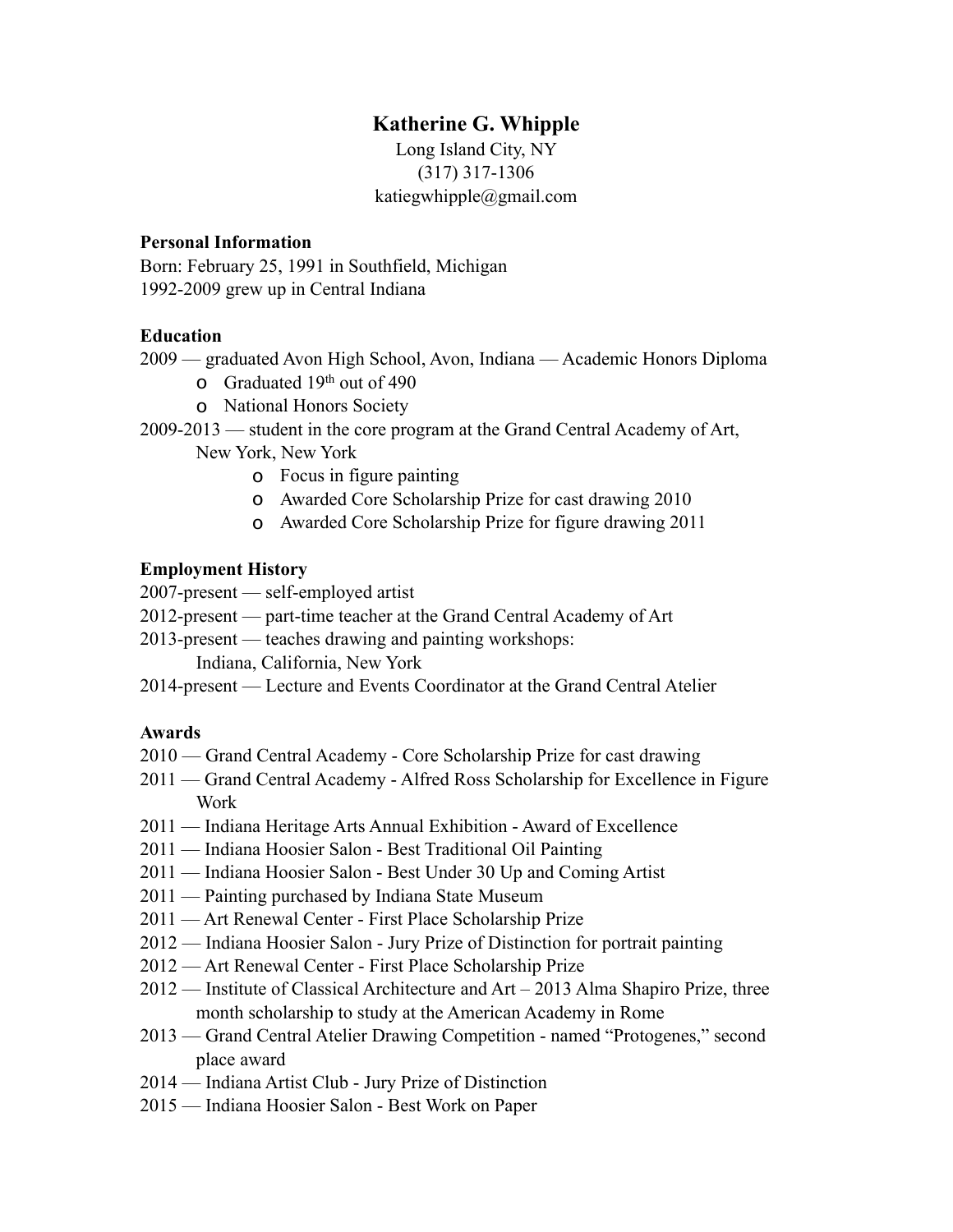# **Katherine G. Whipple**

Long Island City, NY (317) 317-1306 katiegwhipple@gmail.com

### **Personal Information**

Born: February 25, 1991 in Southfield, Michigan 1992-2009 grew up in Central Indiana

### **Education**

2009 — graduated Avon High School, Avon, Indiana — Academic Honors Diploma

- o Graduated 19th out of 490
- o National Honors Society

### 2009-2013 — student in the core program at the Grand Central Academy of Art,

New York, New York

- o Focus in figure painting
- o Awarded Core Scholarship Prize for cast drawing 2010
- o Awarded Core Scholarship Prize for figure drawing 2011

## **Employment History**

- 2007-present self-employed artist
- 2012-present part-time teacher at the Grand Central Academy of Art
- 2013-present teaches drawing and painting workshops:

Indiana, California, New York

2014-present — Lecture and Events Coordinator at the Grand Central Atelier

## **Awards**

- 2010 Grand Central Academy Core Scholarship Prize for cast drawing
- 2011 Grand Central Academy Alfred Ross Scholarship for Excellence in Figure Work
- 2011 Indiana Heritage Arts Annual Exhibition Award of Excellence
- 2011 Indiana Hoosier Salon Best Traditional Oil Painting
- 2011 Indiana Hoosier Salon Best Under 30 Up and Coming Artist
- 2011 Painting purchased by Indiana State Museum
- 2011 Art Renewal Center First Place Scholarship Prize
- 2012 Indiana Hoosier Salon Jury Prize of Distinction for portrait painting
- 2012 Art Renewal Center First Place Scholarship Prize
- 2012 Institute of Classical Architecture and Art 2013 Alma Shapiro Prize, three month scholarship to study at the American Academy in Rome
- 2013 Grand Central Atelier Drawing Competition named "Protogenes," second place award
- 2014 Indiana Artist Club Jury Prize of Distinction
- 2015 Indiana Hoosier Salon Best Work on Paper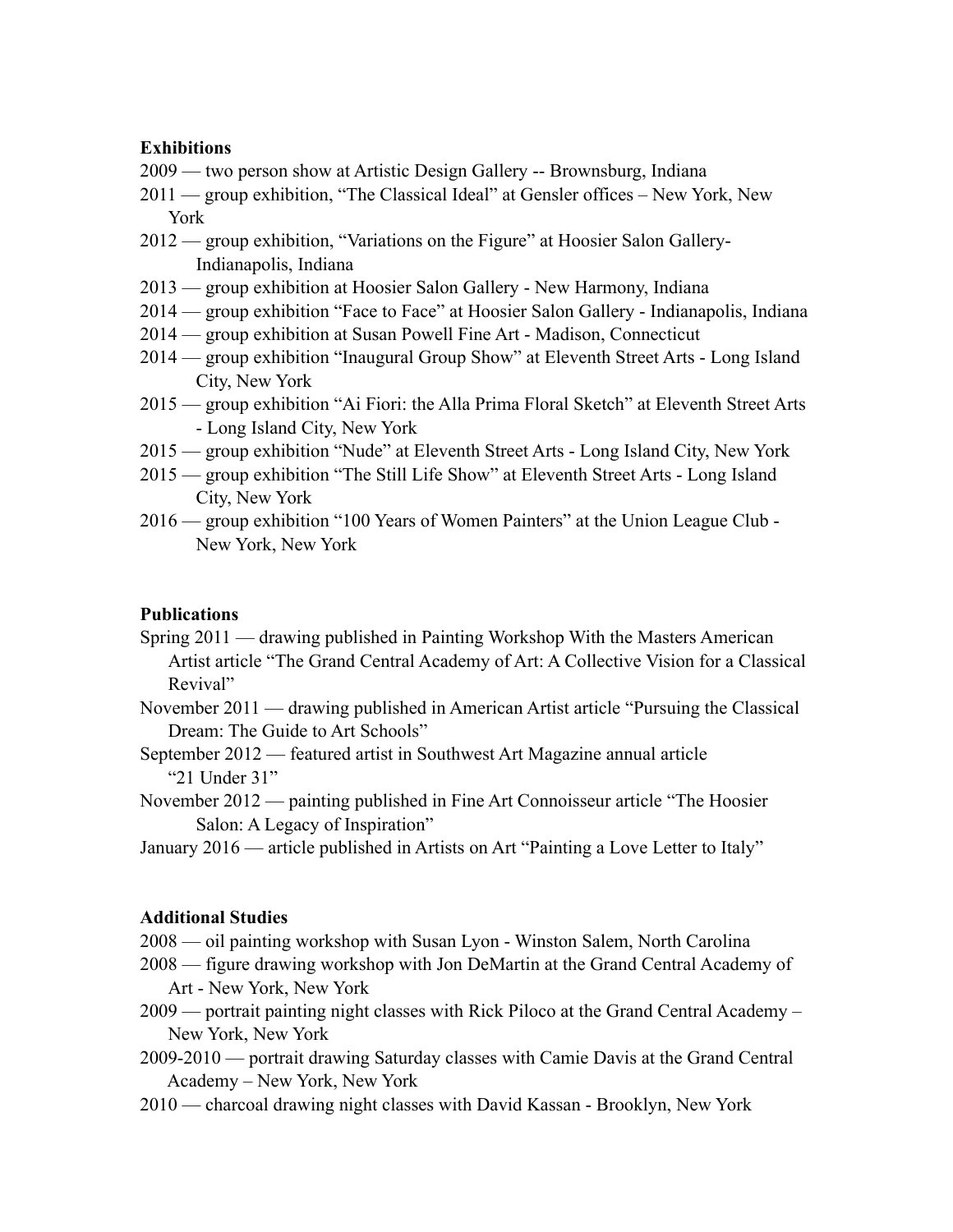### **Exhibitions**

- 2009 two person show at Artistic Design Gallery -- Brownsburg, Indiana
- 2011 group exhibition, "The Classical Ideal" at Gensler offices New York, New York
- 2012 group exhibition, "Variations on the Figure" at Hoosier Salon Gallery- Indianapolis, Indiana
- 2013 group exhibition at Hoosier Salon Gallery New Harmony, Indiana
- 2014 group exhibition "Face to Face" at Hoosier Salon Gallery Indianapolis, Indiana
- 2014 group exhibition at Susan Powell Fine Art Madison, Connecticut
- 2014 group exhibition "Inaugural Group Show" at Eleventh Street Arts Long Island City, New York
- 2015 group exhibition "Ai Fiori: the Alla Prima Floral Sketch" at Eleventh Street Arts - Long Island City, New York
- 2015 group exhibition "Nude" at Eleventh Street Arts Long Island City, New York
- 2015 group exhibition "The Still Life Show" at Eleventh Street Arts Long Island City, New York
- 2016 group exhibition "100 Years of Women Painters" at the Union League Club New York, New York

## **Publications**

- Spring 2011 drawing published in Painting Workshop With the Masters American Artist article "The Grand Central Academy of Art: A Collective Vision for a Classical Revival"
- November 2011 drawing published in American Artist article "Pursuing the Classical Dream: The Guide to Art Schools"
- September 2012 featured artist in Southwest Art Magazine annual article "21 Under 31"
- November 2012 painting published in Fine Art Connoisseur article "The Hoosier Salon: A Legacy of Inspiration"
- January 2016 article published in Artists on Art "Painting a Love Letter to Italy"

## **Additional Studies**

- 2008 oil painting workshop with Susan Lyon Winston Salem, North Carolina
- 2008 figure drawing workshop with Jon DeMartin at the Grand Central Academy of Art - New York, New York
- 2009 portrait painting night classes with Rick Piloco at the Grand Central Academy New York, New York
- 2009-2010 portrait drawing Saturday classes with Camie Davis at the Grand Central Academy – New York, New York
- 2010 charcoal drawing night classes with David Kassan Brooklyn, New York